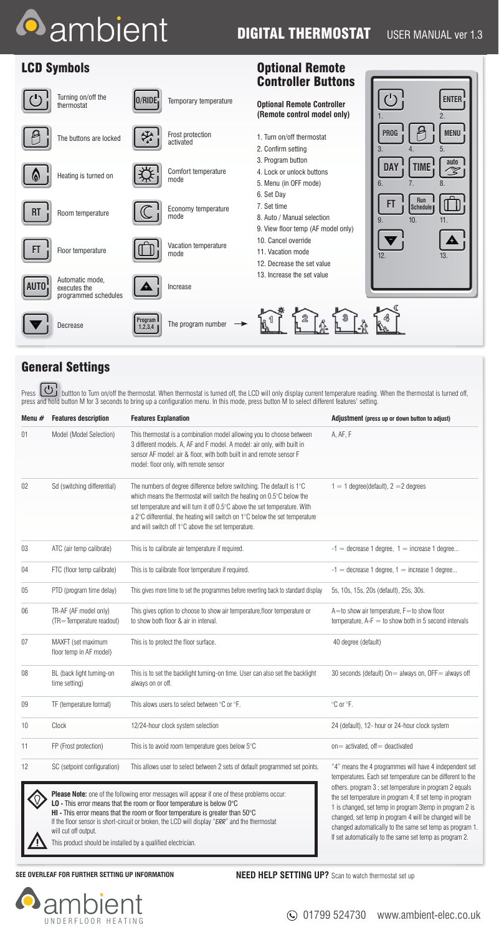# **A** ambient

## **DIGITAL THERMOSTAT** USER MANUAL ver 1.3

Optional Remote

#### LCD Symbols

|             |                                                         |                    |                               | <b>Controller Buttons</b>                                                                     |                                                          |
|-------------|---------------------------------------------------------|--------------------|-------------------------------|-----------------------------------------------------------------------------------------------|----------------------------------------------------------|
|             | Turning on/off the<br>thermostat                        | 0/RIDE;            | Temporary temperature         | <b>Optional Remote Controller</b><br>(Remote control model only)                              | $\mathcal{L}^{(1)}$<br><b>ENTER</b><br>2.                |
|             | The buttons are locked                                  |                    | Frost protection<br>activated | 1. Turn on/off thermostat<br>2. Confirm setting                                               | <b>MENU</b><br><b>PROG</b><br>5.<br>3.<br>$\overline{4}$ |
| (A)         | Heating is turned on                                    |                    | Comfort temperature<br>mode   | 3. Program button<br>4. Lock or unlock buttons<br>5. Menu (in OFF mode)                       | auto<br><b>TIME</b><br><b>DAY</b><br>V,<br>8.<br>6.      |
| <b>RT</b>   | Room temperature                                        |                    | Economy temperature<br>mode   | 6. Set Day<br>7. Set time<br>8. Auto / Manual selection<br>9. View floor temp (AF model only) | Run<br>FT<br>Schedule<br>10.<br>11.<br>9.                |
| Ħ           | Floor temperature                                       |                    | Vacation temperature<br>mode  | 10. Cancel override<br>11. Vacation mode<br>12. Decrease the set value                        | A<br>12.<br>13.                                          |
| <b>AUTO</b> | Automatic mode,<br>executes the<br>programmed schedules | Д                  | Increase                      | 13. Increase the set value                                                                    |                                                          |
|             | Decrease                                                | Program<br>1,2,3,4 | The program number            |                                                                                               |                                                          |

#### General Settings

Press buttton to Turn on/off the thermostat. When thermostat is turned off, the LCD will only display current temperature reading. When the thermostat is turned off, press and hold button M for 3 seconds to bring up a configuration menu. In this mode, press button M to select different features' setting.

| Menu # | <b>Features description</b>                                 | <b>Features Explanation</b>                                                                                                                                                                                                                                                                                                                                                                                                            | Adjustment (press up or down button to adjust)                                                                                                                                                                                                                                                                                                                                                                               |
|--------|-------------------------------------------------------------|----------------------------------------------------------------------------------------------------------------------------------------------------------------------------------------------------------------------------------------------------------------------------------------------------------------------------------------------------------------------------------------------------------------------------------------|------------------------------------------------------------------------------------------------------------------------------------------------------------------------------------------------------------------------------------------------------------------------------------------------------------------------------------------------------------------------------------------------------------------------------|
| 01     | Model (Model Selection)                                     | This thermostat is a combination model allowing you to choose between<br>3 different models. A, AF and F model. A model: air only, with built in<br>sensor AF model: air & floor, with both built in and remote sensor F<br>model: floor only, with remote sensor                                                                                                                                                                      | A, AF, F                                                                                                                                                                                                                                                                                                                                                                                                                     |
| 02     | Sd (switching differential)                                 | The numbers of degree difference before switching. The default is 1°C<br>which means the thermostat will switch the heating on 0.5°C below the<br>set temperature and will turn it off 0.5°C above the set temperature. With<br>a 2°C differential, the heating will switch on 1°C below the set temperature<br>and will switch off 1°C above the set temperature.                                                                     | $1 = 1$ degree(default), $2 = 2$ degrees                                                                                                                                                                                                                                                                                                                                                                                     |
| 03     | ATC (air temp calibrate)                                    | This is to calibrate air temperature if required.                                                                                                                                                                                                                                                                                                                                                                                      | $-1$ = decrease 1 degree, $1$ = increase 1 degree                                                                                                                                                                                                                                                                                                                                                                            |
| 04     | FTC (floor temp calibrate)                                  | This is to calibrate floor temperature if required.                                                                                                                                                                                                                                                                                                                                                                                    | $-1$ = decrease 1 degree, 1 = increase 1 degree                                                                                                                                                                                                                                                                                                                                                                              |
| 05     | PTD (program time delay)                                    | This gives more time to set the programmes before reverting back to standard display                                                                                                                                                                                                                                                                                                                                                   | 5s, 10s, 15s, 20s (default), 25s, 30s.                                                                                                                                                                                                                                                                                                                                                                                       |
| 06     | TR-AF (AF model only)<br>(TR=Temperature readout)           | This gives option to choose to show air temperature, floor temperature or<br>to show both floor & air in interval.                                                                                                                                                                                                                                                                                                                     | $A =$ to show air temperature, $F =$ to show floor<br>temperature, $A-F = to$ show both in 5 second intervals                                                                                                                                                                                                                                                                                                                |
| 07     | MAXFT (set maximum<br>floor temp in AF model)               | This is to protect the floor surface.                                                                                                                                                                                                                                                                                                                                                                                                  | 40 degree (default)                                                                                                                                                                                                                                                                                                                                                                                                          |
| 08     | BL (back light turning-on<br>time setting)                  | This is to set the backlight turning-on time. User can also set the backlight<br>always on or off.                                                                                                                                                                                                                                                                                                                                     | 30 seconds (default) On = always on, OFF = always off                                                                                                                                                                                                                                                                                                                                                                        |
| 09     | TF (temperature format)                                     | This alows users to select between °C or °F.                                                                                                                                                                                                                                                                                                                                                                                           | °C or °F.                                                                                                                                                                                                                                                                                                                                                                                                                    |
| 10     | Clock                                                       | 12/24-hour clock system selection                                                                                                                                                                                                                                                                                                                                                                                                      | 24 (default), 12- hour or 24-hour clock system                                                                                                                                                                                                                                                                                                                                                                               |
| 11     | FP (Frost protection)                                       | This is to avoid room temperature goes below 5°C                                                                                                                                                                                                                                                                                                                                                                                       | on = activated, off = deactivated                                                                                                                                                                                                                                                                                                                                                                                            |
| 12     | SC (setpoint configuration)<br>will cut off output.         | This allows user to select between 2 sets of default programmed set points.<br>Please Note: one of the following error messages will appear if one of these problems occur:<br>LO - This error means that the room or floor temperature is below 0°C<br>HI - This error means that the room or floor temperature is greater than 50°C<br>If the floor sensor is short-circuit or broken, the LCD will display "ERR" and the thermostat | "4" means the 4 programmes will have 4 independent set<br>temperatures. Each set temperature can be different to the<br>others. program 3 ; set temperature in program 2 equals<br>the set temperature in program 4; If set temp in program<br>1 is changed, set temp in program 3temp in program 2 is<br>changed, set temp in program 4 will be changed will be<br>changed automatically to the same set temp as program 1. |
|        | This product should be installed by a qualified electrician |                                                                                                                                                                                                                                                                                                                                                                                                                                        | If set automatically to the same set temp as program 2.                                                                                                                                                                                                                                                                                                                                                                      |

/!\ This product should be installed by a qualified electrician.

**SEE OVERLEAF FOR FURTHER SETTING UP INFORMATION<br>
<b>NEED HELP SETTING UP?** Scan to watch thermostat set up



## $\odot$  01799 524730 www.ambient-elec.co.uk